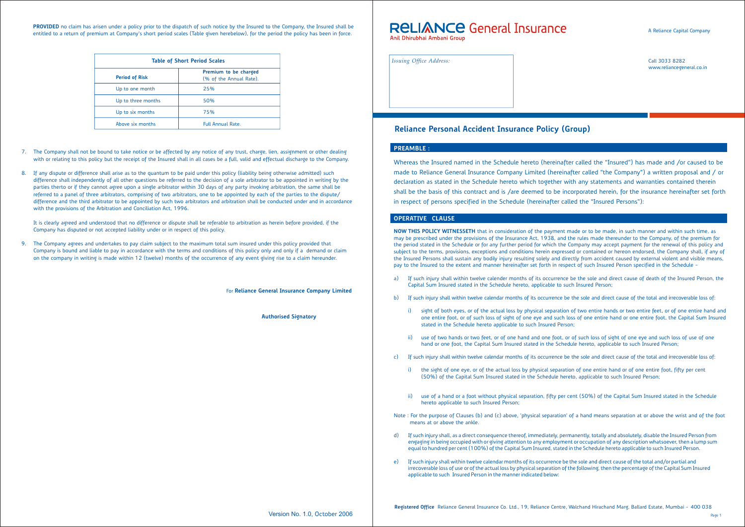## **OPERATIVE CLAUSE**

Call 3033 8282 www.reliancegeneral.co.in



Whereas the Insured named in the Schedule hereto (hereinafter called the "Insured") has made and /or caused to be made to Reliance General Insurance Company Limited (hereinafter called "the Company") a written proposal and / or declaration as stated in the Schedule hereto which together with any statements and warranties contained therein shall be the basis of this contract and is /are deemed to be incorporated herein, for the insurance hereinafter set forth in respect of persons specified in the Schedule (hereinafter called the "Insured Persons"):

**NOW THIS POLICY WITNESSETH** that in consideration of the payment made or to be made, in such manner and within such time, as may be prescribed under the provisions of the Insurance Act, 1938, and the rules made thereunder to the Company, of the premium for the period stated in the Schedule or for any further period for which the Company may accept payment for the renewal of this policy and subject to the terms, provisions, exceptions and conditions herein expressed or contained or hereon endorsed, the Company shall, if any of the Insured Persons shall sustain any bodily injury resulting solely and directly from accident caused by external violent and visible means, pay to the Insured to the extent and manner hereinafter set forth in respect of such Insured Person specified in the Schedule -

**PROVIDED** no claim has arisen under a policy prior to the dispatch of such notice by the Insured to the Company, the Insured shall be entitled to a return of premium at Company's short period scales (Table given herebelow), for the period the policy has been in force.

- a) If such injury shall within twelve calender months of its occurrence be the sole and direct cause of death of the Insured Person, the Capital Sum Insured stated in the Schedule hereto, applicable to such Insured Person;
- b) If such injury shall within twelve calendar months of its occurrence be the sole and direct cause of the total and irrecoverable loss of:
	- i) sight of both eyes, or of the actual loss by physical separation of two entire hands or two entire feet, or of one entire hand and one entire foot, or of such loss of sight of one eye and such loss of one entire hand or one entire foot, the Capital Sum Insured stated in the Schedule hereto applicable to such Insured Person;
	- ii) use of two hands or two feet, or of one hand and one foot, or of such loss of sight of one eye and such loss of use of one hand or one foot, the Capital Sum Insured stated in the Schedule hereto, applicable to such Insured Person;
- c) If such injury shall within twelve calendar months of its occurrence be the sole and direct cause of the total and irrecoverable loss of:
	- i) the sight of one eye, or of the actual loss by physical separation of one entire hand or of one entire foot, fifty per cent (50%) of the Capital Sum Insured stated in the Schedule hereto, applicable to such Insured Person;
	- ii) use of a hand or a foot without physical separation, fifty per cent (50%) of the Capital Sum Insured stated in the Schedule hereto applicable to such Insured Person;
- Note : For the purpose of Clauses (b) and (c) above, 'physical separation' of a hand means separation at or above the wrist and of the foot means at or above the ankle.
- d) If such injury shall, as a direct consequence thereof, immediately, permanently, totally and absolutely, disable the Insured Person from engaging in being occupied with or giving attention to any employment or occupation of any description whatsoever, then a lump sum equal to hundred per cent (100%) of the Capital Sum Insured, stated in the Schedule hereto applicable to such Insured Person.
- e) If such injury shall within twelve calendar months of its occurrence be the sole and direct cause of the total and/or partial and irrecoverable loss of use or of the actual loss by physical separation of the following, then the percentage of the Capital Sum Insured applicable to such Insured Person in the manner indicated below:

| <b>Table of Short Period Scales</b> |                                                  |  |
|-------------------------------------|--------------------------------------------------|--|
| <b>Period of Risk</b>               | Premium to be charged<br>(% of the Annual Rate). |  |
| Up to one month                     | 25%                                              |  |
| Up to three months                  | 50%                                              |  |
| Up to six months                    | 75%                                              |  |
| Above six months                    | <b>Full Annual Rate.</b>                         |  |

- 7. The Company shall not be bound to take notice or be affected by any notice of any trust, charge, lien, assignment or other dealing with or relating to this policy but the receipt of the Insured shall in all cases be a full, valid and effectual discharge to the Company.
- 8. If any dispute or difference shall arise as to the quantum to be paid under this policy (liability being otherwise admitted) such difference shall independently of all other questions be referred to the decision of a sole arbitrator to be appointed in writing by the parties therto or if they cannot agree upon a single arbitrator within 30 days of any party invoking arbitration, the same shall be referred to a panel of three arbitrators, comprising of two arbitrators, one to be appointed by each of the parties to the dispute/ difference and the third arbitrator to be appointed by such two arbitrators and arbitration shall be conducted under and in accordance with the provisions of the Arbitration and Conciliation Act, 1996.

It is clearly agreed and understood that no difference or dispute shall be referable to arbitration as herein before provided, if the Company has disputed or not accepted liability under or in respect of this policy.

9. The Company agrees and undertakes to pay claim subject to the maximum total sum insured under this policy provided that Company is bound and liable to pay in accordance with the terms and conditions of this policy only and only if a demand or claim on the company in writing is made within 12 (twelve) months of the occurrence of any event giving rise to a claim hereunder.

For **Reliance General Insurance Company Limited** 

**Authorised Signatory**

## **RELIANCE General Insurance** Anil Dhirubhai Ambani Group

*Issuing Office Address:*

# **Reliance Personal Accident Insurance Policy (Group)**

## **PREAMBLE :**